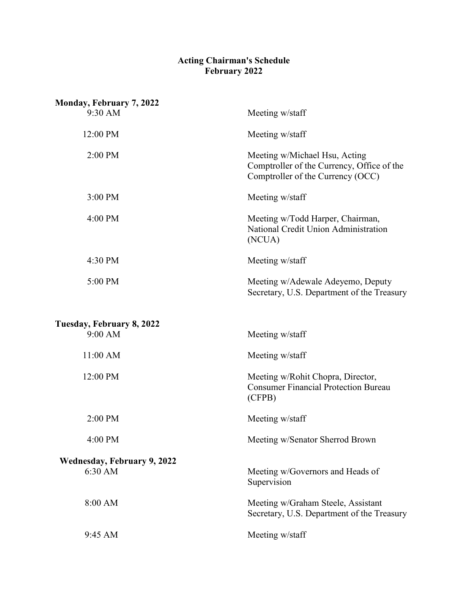## **Acting Chairman's Schedule February 2022**

| Monday, February 7, 2022                      |                                                                                                                  |
|-----------------------------------------------|------------------------------------------------------------------------------------------------------------------|
| 9:30 AM                                       | Meeting w/staff                                                                                                  |
| 12:00 PM                                      | Meeting w/staff                                                                                                  |
| 2:00 PM                                       | Meeting w/Michael Hsu, Acting<br>Comptroller of the Currency, Office of the<br>Comptroller of the Currency (OCC) |
| 3:00 PM                                       | Meeting w/staff                                                                                                  |
| 4:00 PM                                       | Meeting w/Todd Harper, Chairman,<br>National Credit Union Administration<br>(NCUA)                               |
| 4:30 PM                                       | Meeting w/staff                                                                                                  |
| 5:00 PM                                       | Meeting w/Adewale Adeyemo, Deputy<br>Secretary, U.S. Department of the Treasury                                  |
| Tuesday, February 8, 2022                     |                                                                                                                  |
| 9:00 AM                                       | Meeting w/staff                                                                                                  |
| 11:00 AM                                      | Meeting w/staff                                                                                                  |
| 12:00 PM                                      | Meeting w/Rohit Chopra, Director,<br><b>Consumer Financial Protection Bureau</b><br>(CFPB)                       |
| 2:00 PM                                       | Meeting w/staff                                                                                                  |
| 4:00 PM                                       | Meeting w/Senator Sherrod Brown                                                                                  |
| <b>Wednesday, February 9, 2022</b><br>6:30 AM | Meeting w/Governors and Heads of<br>Supervision                                                                  |
| 8:00 AM                                       | Meeting w/Graham Steele, Assistant<br>Secretary, U.S. Department of the Treasury                                 |
| 9:45 AM                                       | Meeting w/staff                                                                                                  |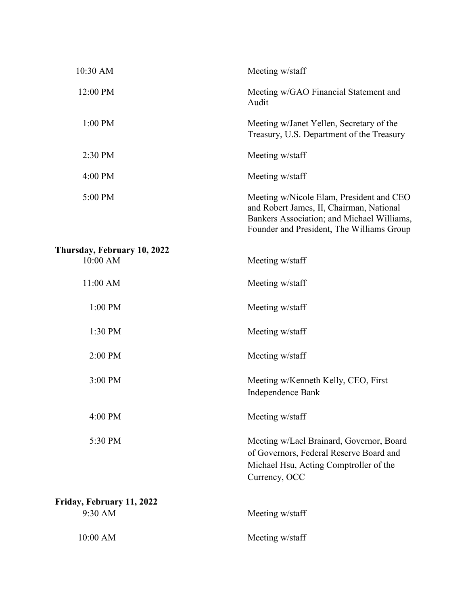| 10:30 AM                    | Meeting w/staff                                                                                                                                                                 |
|-----------------------------|---------------------------------------------------------------------------------------------------------------------------------------------------------------------------------|
| 12:00 PM                    | Meeting w/GAO Financial Statement and<br>Audit                                                                                                                                  |
| 1:00 PM                     | Meeting w/Janet Yellen, Secretary of the<br>Treasury, U.S. Department of the Treasury                                                                                           |
| 2:30 PM                     | Meeting w/staff                                                                                                                                                                 |
| 4:00 PM                     | Meeting w/staff                                                                                                                                                                 |
| 5:00 PM                     | Meeting w/Nicole Elam, President and CEO<br>and Robert James, II, Chairman, National<br>Bankers Association; and Michael Williams,<br>Founder and President, The Williams Group |
| Thursday, February 10, 2022 |                                                                                                                                                                                 |
| 10:00 AM                    | Meeting w/staff                                                                                                                                                                 |
| 11:00 AM                    | Meeting w/staff                                                                                                                                                                 |
| 1:00 PM                     | Meeting w/staff                                                                                                                                                                 |
| 1:30 PM                     | Meeting w/staff                                                                                                                                                                 |
| 2:00 PM                     | Meeting w/staff                                                                                                                                                                 |
| 3:00 PM                     | Meeting w/Kenneth Kelly, CEO, First<br>Independence Bank                                                                                                                        |
| 4:00 PM                     | Meeting w/staff                                                                                                                                                                 |
| 5:30 PM                     | Meeting w/Lael Brainard, Governor, Board<br>of Governors, Federal Reserve Board and<br>Michael Hsu, Acting Comptroller of the<br>Currency, OCC                                  |
| Friday, February 11, 2022   |                                                                                                                                                                                 |
| 9:30 AM                     | Meeting w/staff                                                                                                                                                                 |
| 10:00 AM                    | Meeting w/staff                                                                                                                                                                 |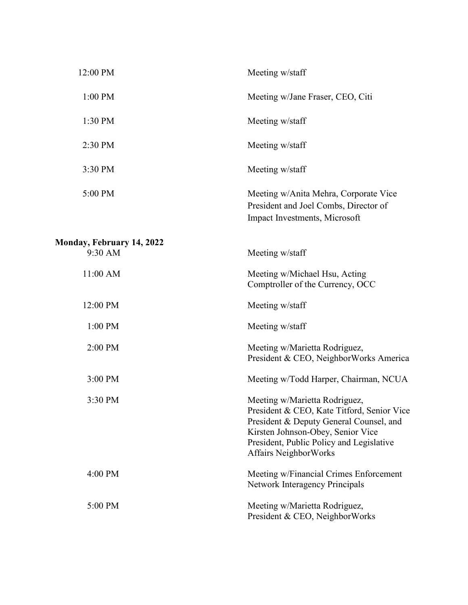| 12:00 PM                  | Meeting w/staff                                                                                                                                                                                                                         |
|---------------------------|-----------------------------------------------------------------------------------------------------------------------------------------------------------------------------------------------------------------------------------------|
| 1:00 PM                   | Meeting w/Jane Fraser, CEO, Citi                                                                                                                                                                                                        |
| 1:30 PM                   | Meeting w/staff                                                                                                                                                                                                                         |
| 2:30 PM                   | Meeting w/staff                                                                                                                                                                                                                         |
| 3:30 PM                   | Meeting w/staff                                                                                                                                                                                                                         |
| 5:00 PM                   | Meeting w/Anita Mehra, Corporate Vice<br>President and Joel Combs, Director of<br>Impact Investments, Microsoft                                                                                                                         |
| Monday, February 14, 2022 |                                                                                                                                                                                                                                         |
| 9:30 AM                   | Meeting w/staff                                                                                                                                                                                                                         |
| 11:00 AM                  | Meeting w/Michael Hsu, Acting<br>Comptroller of the Currency, OCC                                                                                                                                                                       |
| 12:00 PM                  | Meeting w/staff                                                                                                                                                                                                                         |
| 1:00 PM                   | Meeting w/staff                                                                                                                                                                                                                         |
| 2:00 PM                   | Meeting w/Marietta Rodriguez,<br>President & CEO, NeighborWorks America                                                                                                                                                                 |
| 3:00 PM                   | Meeting w/Todd Harper, Chairman, NCUA                                                                                                                                                                                                   |
| 3:30 PM                   | Meeting w/Marietta Rodriguez,<br>President & CEO, Kate Titford, Senior Vice<br>President & Deputy General Counsel, and<br>Kirsten Johnson-Obey, Senior Vice<br>President, Public Policy and Legislative<br><b>Affairs NeighborWorks</b> |
| 4:00 PM                   | Meeting w/Financial Crimes Enforcement<br><b>Network Interagency Principals</b>                                                                                                                                                         |
| 5:00 PM                   | Meeting w/Marietta Rodriguez,<br>President & CEO, NeighborWorks                                                                                                                                                                         |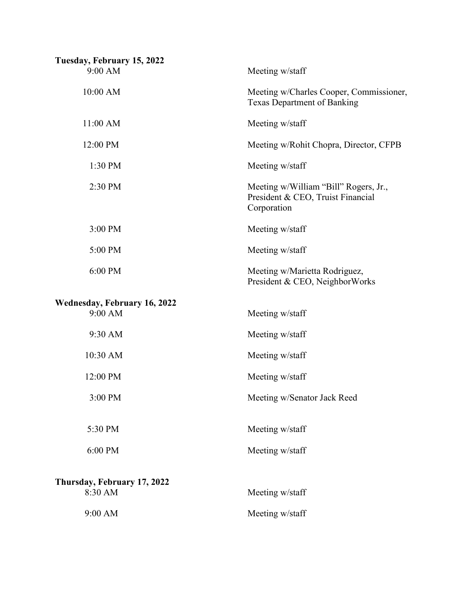| Tuesday, February 15, 2022                     |                                                                                           |
|------------------------------------------------|-------------------------------------------------------------------------------------------|
| 9:00 AM                                        | Meeting w/staff                                                                           |
| 10:00 AM                                       | Meeting w/Charles Cooper, Commissioner,<br><b>Texas Department of Banking</b>             |
| 11:00 AM                                       | Meeting w/staff                                                                           |
| 12:00 PM                                       | Meeting w/Rohit Chopra, Director, CFPB                                                    |
| 1:30 PM                                        | Meeting w/staff                                                                           |
| 2:30 PM                                        | Meeting w/William "Bill" Rogers, Jr.,<br>President & CEO, Truist Financial<br>Corporation |
| 3:00 PM                                        | Meeting w/staff                                                                           |
| 5:00 PM                                        | Meeting w/staff                                                                           |
| 6:00 PM                                        | Meeting w/Marietta Rodriguez,<br>President & CEO, NeighborWorks                           |
| <b>Wednesday, February 16, 2022</b><br>9:00 AM | Meeting w/staff                                                                           |
| 9:30 AM                                        | Meeting w/staff                                                                           |
| 10:30 AM                                       | Meeting w/staff                                                                           |
| 12:00 PM                                       | Meeting w/staff                                                                           |
| 3:00 PM                                        | Meeting w/Senator Jack Reed                                                               |
| 5:30 PM                                        | Meeting w/staff                                                                           |
| 6:00 PM                                        | Meeting w/staff                                                                           |
| Thursday, February 17, 2022<br>8:30 AM         | Meeting w/staff                                                                           |
| 9:00 AM                                        | Meeting w/staff                                                                           |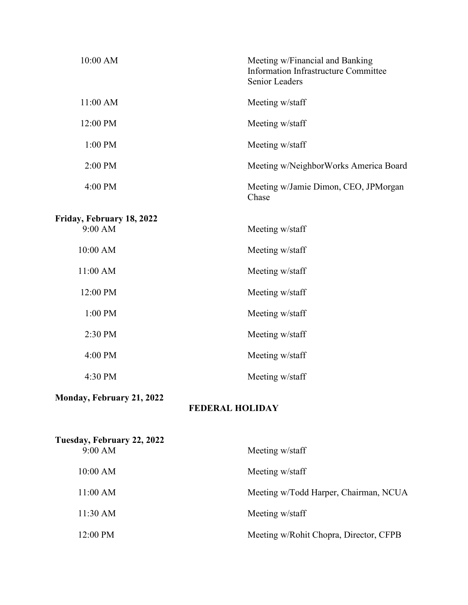| 10:00 AM                                            | Meeting w/Financial and Banking<br><b>Information Infrastructure Committee</b><br><b>Senior Leaders</b> |  |
|-----------------------------------------------------|---------------------------------------------------------------------------------------------------------|--|
| 11:00 AM                                            | Meeting w/staff                                                                                         |  |
| 12:00 PM                                            | Meeting w/staff                                                                                         |  |
| 1:00 PM                                             | Meeting w/staff                                                                                         |  |
| 2:00 PM                                             | Meeting w/NeighborWorks America Board                                                                   |  |
| 4:00 PM                                             | Meeting w/Jamie Dimon, CEO, JPMorgan<br>Chase                                                           |  |
| Friday, February 18, 2022                           |                                                                                                         |  |
| 9:00 AM                                             | Meeting w/staff                                                                                         |  |
| 10:00 AM                                            | Meeting w/staff                                                                                         |  |
| 11:00 AM                                            | Meeting w/staff                                                                                         |  |
| 12:00 PM                                            | Meeting w/staff                                                                                         |  |
| 1:00 PM                                             | Meeting w/staff                                                                                         |  |
| 2:30 PM                                             | Meeting w/staff                                                                                         |  |
| 4:00 PM                                             | Meeting w/staff                                                                                         |  |
| 4:30 PM                                             | Meeting w/staff                                                                                         |  |
| Monday, February 21, 2022<br><b>FEDERAL HOLIDAY</b> |                                                                                                         |  |
| Tuesday, February 22, 2022<br>9:00 AM               | Meeting w/staff                                                                                         |  |
|                                                     |                                                                                                         |  |

| $10:00$ AM | Meeting w/staff                        |
|------------|----------------------------------------|
| 11:00 AM   | Meeting w/Todd Harper, Chairman, NCUA  |
| 11:30 AM   | Meeting w/staff                        |
| 12:00 PM   | Meeting w/Rohit Chopra, Director, CFPB |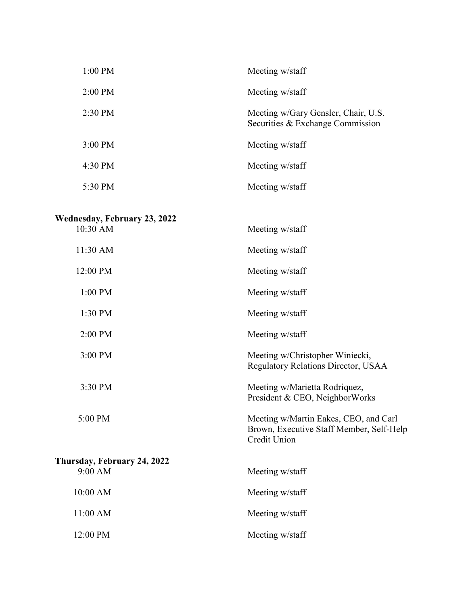| 1:00 PM                                         | Meeting w/staff                                                                                          |
|-------------------------------------------------|----------------------------------------------------------------------------------------------------------|
| 2:00 PM                                         | Meeting w/staff                                                                                          |
| 2:30 PM                                         | Meeting w/Gary Gensler, Chair, U.S.<br>Securities & Exchange Commission                                  |
| 3:00 PM                                         | Meeting w/staff                                                                                          |
| 4:30 PM                                         | Meeting w/staff                                                                                          |
| 5:30 PM                                         | Meeting w/staff                                                                                          |
| <b>Wednesday, February 23, 2022</b><br>10:30 AM | Meeting w/staff                                                                                          |
| 11:30 AM                                        | Meeting w/staff                                                                                          |
| 12:00 PM                                        | Meeting w/staff                                                                                          |
| 1:00 PM                                         | Meeting w/staff                                                                                          |
| 1:30 PM                                         | Meeting w/staff                                                                                          |
| 2:00 PM                                         | Meeting w/staff                                                                                          |
| 3:00 PM                                         | Meeting w/Christopher Winiecki,<br>Regulatory Relations Director, USAA                                   |
| 3:30 PM                                         | Meeting w/Marietta Rodriquez,<br>President & CEO, NeighborWorks                                          |
| 5:00 PM                                         | Meeting w/Martin Eakes, CEO, and Carl<br>Brown, Executive Staff Member, Self-Help<br><b>Credit Union</b> |
| Thursday, February 24, 2022<br>9:00 AM          | Meeting w/staff                                                                                          |
| 10:00 AM                                        | Meeting w/staff                                                                                          |
| 11:00 AM                                        | Meeting w/staff                                                                                          |
| 12:00 PM                                        | Meeting w/staff                                                                                          |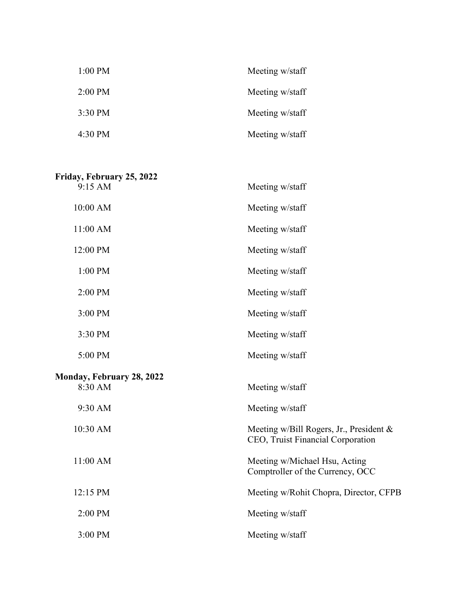| Meeting w/staff | $1:00$ PM |
|-----------------|-----------|
| Meeting w/staff | $2:00$ PM |
| Meeting w/staff | 3:30 PM   |
| Meeting w/staff | 4:30 PM   |

| Friday, February 25, 2022 |                                                                              |
|---------------------------|------------------------------------------------------------------------------|
| 9:15 AM                   | Meeting w/staff                                                              |
| 10:00 AM                  | Meeting w/staff                                                              |
| 11:00 AM                  | Meeting w/staff                                                              |
| 12:00 PM                  | Meeting w/staff                                                              |
| 1:00 PM                   | Meeting w/staff                                                              |
| 2:00 PM                   | Meeting w/staff                                                              |
| 3:00 PM                   | Meeting w/staff                                                              |
| 3:30 PM                   | Meeting w/staff                                                              |
| 5:00 PM                   | Meeting w/staff                                                              |
| Monday, February 28, 2022 |                                                                              |
| 8:30 AM                   | Meeting w/staff                                                              |
| 9:30 AM                   | Meeting w/staff                                                              |
| 10:30 AM                  | Meeting w/Bill Rogers, Jr., President &<br>CEO, Truist Financial Corporation |
| 11:00 AM                  | Meeting w/Michael Hsu, Acting<br>Comptroller of the Currency, OCC            |
| 12:15 PM                  | Meeting w/Rohit Chopra, Director, CFPB                                       |
| 2:00 PM                   | Meeting w/staff                                                              |
| 3:00 PM                   | Meeting w/staff                                                              |
|                           |                                                                              |